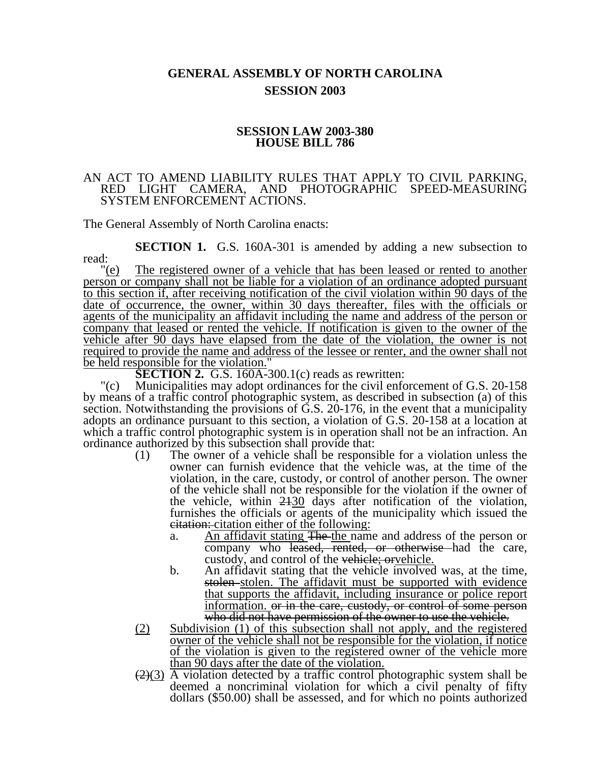## **GENERAL ASSEMBLY OF NORTH CAROLINA SESSION 2003**

## **SESSION LAW 2003-380 HOUSE BILL 786**

## AN ACT TO AMEND LIABILITY RULES THAT APPLY TO CIVIL PARKING, RED LIGHT CAMERA, AND PHOTOGRAPHIC SPEED-MEASURING AND PHOTOGRAPHIC SPEED-MEASURING SYSTEM ENFORCEMENT ACTIONS.

The General Assembly of North Carolina enacts:

**SECTION 1.** G.S. 160A-301 is amended by adding a new subsection to read:

"(e) The registered owner of a vehicle that has been leased or rented to another person or company shall not be liable for a violation of an ordinance adopted pursuant to this section if, after receiving notification of the civil violation within 90 days of the date of occurrence, the owner, within 30 days thereafter, files with the officials or agents of the municipality an affidavit including the name and address of the person or company that leased or rented the vehicle. If notification is given to the owner of the vehicle after 90 days have elapsed from the date of the violation, the owner is not required to provide the name and address of the lessee or renter, and the owner shall not be held responsible for the violation."

**SECTION 2.** G.S. 160A-300.1(c) reads as rewritten:

"(c) Municipalities may adopt ordinances for the civil enforcement of G.S. 20-158 by means of a traffic control photographic system, as described in subsection (a) of this section. Notwithstanding the provisions of  $\ddot{G}$ . S. 20-176, in the event that a municipality adopts an ordinance pursuant to this section, a violation of G.S. 20-158 at a location at which a traffic control photographic system is in operation shall not be an infraction. An ordinance authorized by this subsection shall provide that:

- (1) The owner of a vehicle shall be responsible for a violation unless the owner can furnish evidence that the vehicle was, at the time of the violation, in the care, custody, or control of another person. The owner of the vehicle shall not be responsible for the violation if the owner of the vehicle, within 2130 days after notification of the violation, furnishes the officials or agents of the municipality which issued the citation: citation either of the following:
	- a. An affidavit stating The the name and address of the person or company who leased, rented, or otherwise had the care, custody, and control of the vehicle; orvehicle.
	- b. An affidavit stating that the vehicle involved was, at the time, stolen stolen. The affidavit must be supported with evidence that supports the affidavit, including insurance or police report information. <del>or in the care, custody, or control of some person</del> who did not have permission of the owner to use the vehicle.
- (2) Subdivision (1) of this subsection shall not apply, and the registered owner of the vehicle shall not be responsible for the violation, if notice of the violation is given to the registered owner of the vehicle more than 90 days after the date of the violation.
- $(2)(3)$  A violation detected by a traffic control photographic system shall be deemed a noncriminal violation for which a civil penalty of fifty dollars (\$50.00) shall be assessed, and for which no points authorized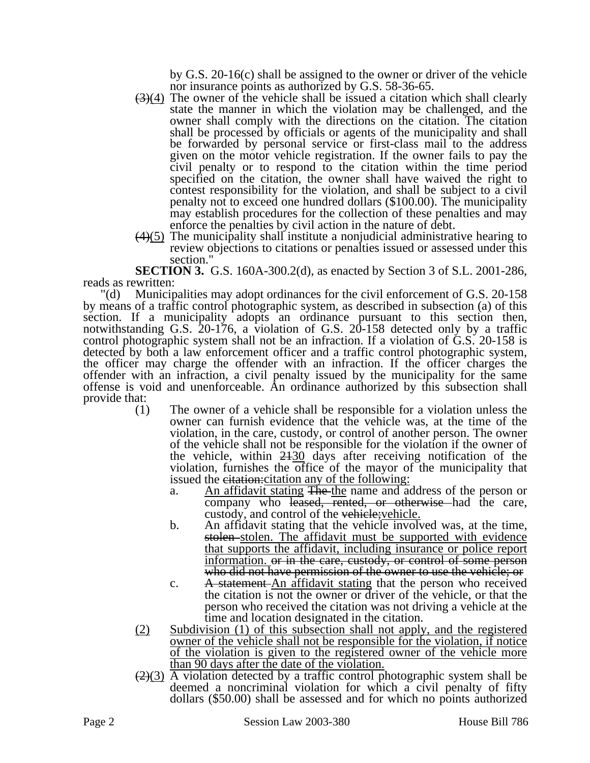by G.S. 20-16(c) shall be assigned to the owner or driver of the vehicle nor insurance points as authorized by G.S. 58-36-65.

- $(3)(4)$  The owner of the vehicle shall be issued a citation which shall clearly state the manner in which the violation may be challenged, and the owner shall comply with the directions on the citation. The citation shall be processed by officials or agents of the municipality and shall be forwarded by personal service or first-class mail to the address given on the motor vehicle registration. If the owner fails to pay the civil penalty or to respond to the citation within the time period specified on the citation, the owner shall have waived the right to contest responsibility for the violation, and shall be subject to a civil penalty not to exceed one hundred dollars (\$100.00). The municipality may establish procedures for the collection of these penalties and may enforce the penalties by civil action in the nature of debt.
- $(4)(5)$  The municipality shall institute a nonjudicial administrative hearing to review objections to citations or penalties issued or assessed under this section.

**SECTION 3.** G.S. 160A-300.2(d), as enacted by Section 3 of S.L. 2001-286, reads as rewritten:

"(d) Municipalities may adopt ordinances for the civil enforcement of G.S. 20-158 by means of a traffic control photographic system, as described in subsection (a) of this section. If a municipality adopts an ordinance pursuant to this section then, notwithstanding G.S. 20-176, a violation of G.S. 20-158 detected only by a traffic control photographic system shall not be an infraction. If a violation of G.S. 20-158 is detected by both a law enforcement officer and a traffic control photographic system, the officer may charge the offender with an infraction. If the officer charges the offender with an infraction, a civil penalty issued by the municipality for the same offense is void and unenforceable. An ordinance authorized by this subsection shall provide that:

- (1) The owner of a vehicle shall be responsible for a violation unless the owner can furnish evidence that the vehicle was, at the time of the violation, in the care, custody, or control of another person. The owner of the vehicle shall not be responsible for the violation if the owner of the vehicle, within  $2430$  days after receiving notification of the violation, furnishes the office of the mayor of the municipality that issued the eitation: citation any of the following:
	- a. An affidavit stating The the name and address of the person or company who leased, rented, or otherwise had the care, custody, and control of the vehicle; vehicle.
	- b. An affidavit stating that the vehicle involved was, at the time, stolen stolen. The affidavit must be supported with evidence that supports the affidavit, including insurance or police report information. or in the care, custody, or control of some person who did not have permission of the owner to use the vehicle; or
	- c. A statement An affidavit stating that the person who received the citation is not the owner or driver of the vehicle, or that the person who received the citation was not driving a vehicle at the time and location designated in the citation.
- (2) Subdivision (1) of this subsection shall not apply, and the registered owner of the vehicle shall not be responsible for the violation, if notice of the violation is given to the registered owner of the vehicle more than 90 days after the date of the violation.
- $\left(\frac{2}{3}\right)$  A violation detected by a traffic control photographic system shall be deemed a noncriminal violation for which a civil penalty of fifty dollars (\$50.00) shall be assessed and for which no points authorized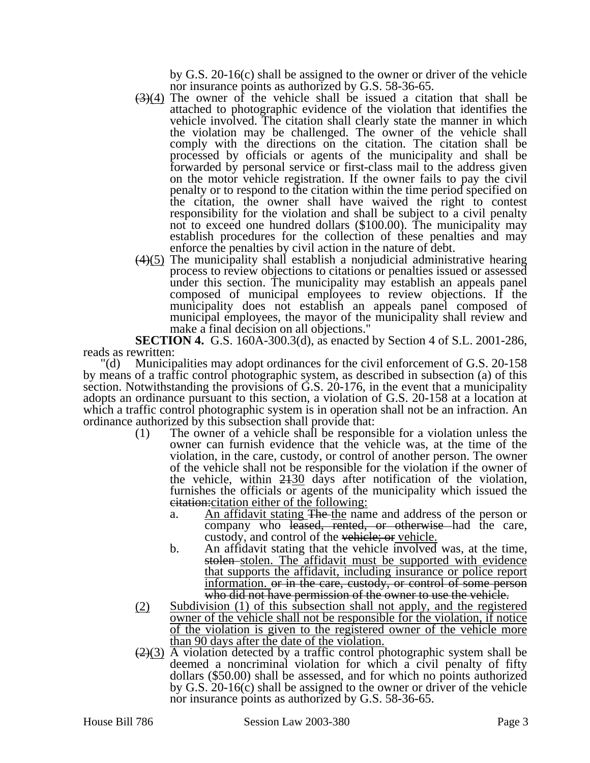by G.S. 20-16(c) shall be assigned to the owner or driver of the vehicle nor insurance points as authorized by G.S. 58-36-65.

- $(3)(4)$  The owner of the vehicle shall be issued a citation that shall be attached to photographic evidence of the violation that identifies the vehicle involved. The citation shall clearly state the manner in which the violation may be challenged. The owner of the vehicle shall comply with the directions on the citation. The citation shall be processed by officials or agents of the municipality and shall be forwarded by personal service or first-class mail to the address given on the motor vehicle registration. If the owner fails to pay the civil penalty or to respond to the citation within the time period specified on the citation, the owner shall have waived the right to contest responsibility for the violation and shall be subject to a civil penalty not to exceed one hundred dollars (\$100.00). The municipality may establish procedures for the collection of these penalties and may enforce the penalties by civil action in the nature of debt.
- $(4)(5)$  The municipality shall establish a nonjudicial administrative hearing process to review objections to citations or penalties issued or assessed under this section. The municipality may establish an appeals panel composed of municipal employees to review objections. If the municipality does not establish an appeals panel composed of municipal employees, the mayor of the municipality shall review and make a final decision on all objections."

**SECTION 4.** G.S. 160A-300.3(d), as enacted by Section 4 of S.L. 2001-286, reads as rewritten:

"(d) Municipalities may adopt ordinances for the civil enforcement of G.S. 20-158 by means of a traffic control photographic system, as described in subsection (a) of this section. Notwithstanding the provisions of G.S. 20-176, in the event that a municipality adopts an ordinance pursuant to this section, a violation of G.S. 20-158 at a location at which a traffic control photographic system is in operation shall not be an infraction. An ordinance authorized by this subsection shall provide that:

- (1) The owner of a vehicle shall be responsible for a violation unless the owner can furnish evidence that the vehicle was, at the time of the violation, in the care, custody, or control of another person. The owner of the vehicle shall not be responsible for the violation if the owner of the vehicle, within 2130 days after notification of the violation, furnishes the officials or agents of the municipality which issued the citation:citation either of the following:
	- a. An affidavit stating The the name and address of the person or company who leased, rented, or otherwise had the care, custody, and control of the vehicle; or vehicle.
	- b. An affidavit stating that the vehicle involved was, at the time, stolen stolen. The affidavit must be supported with evidence that supports the affidavit, including insurance or police report information. <del>or in the care, custody, or control of some person</del> who did not have permission of the owner to use the vehicle.
- (2) Subdivision (1) of this subsection shall not apply, and the registered owner of the vehicle shall not be responsible for the violation, if notice of the violation is given to the registered owner of the vehicle more than 90 days after the date of the violation.
- $\left(\frac{2}{3}\right)$  A violation detected by a traffic control photographic system shall be deemed a noncriminal violation for which a civil penalty of fifty dollars (\$50.00) shall be assessed, and for which no points authorized by G.S. 20-16(c) shall be assigned to the owner or driver of the vehicle nor insurance points as authorized by G.S. 58-36-65.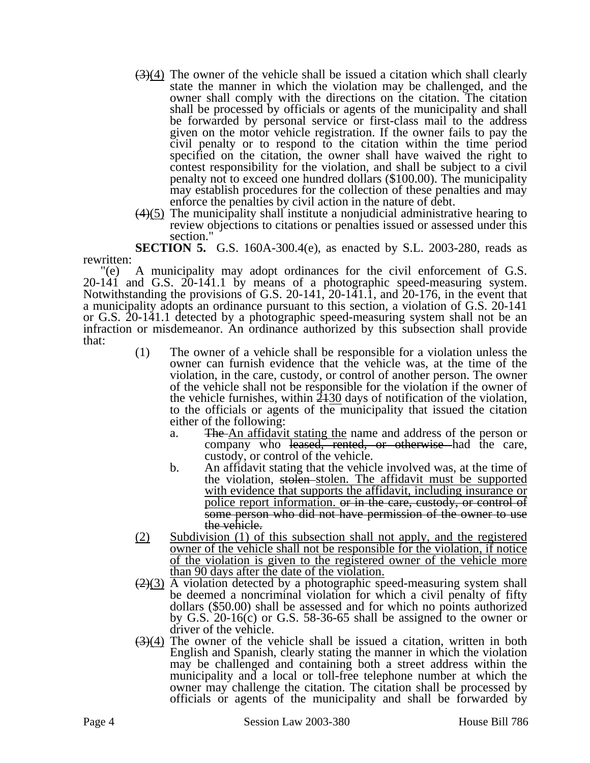- $(3)(4)$  The owner of the vehicle shall be issued a citation which shall clearly state the manner in which the violation may be challenged, and the owner shall comply with the directions on the citation. The citation shall be processed by officials or agents of the municipality and shall be forwarded by personal service or first-class mail to the address given on the motor vehicle registration. If the owner fails to pay the civil penalty or to respond to the citation within the time period specified on the citation, the owner shall have waived the right to contest responsibility for the violation, and shall be subject to a civil penalty not to exceed one hundred dollars (\$100.00). The municipality may establish procedures for the collection of these penalties and may enforce the penalties by civil action in the nature of debt.
- $(4)(5)$  The municipality shall institute a nonjudicial administrative hearing to review objections to citations or penalties issued or assessed under this section."

**SECTION 5.** G.S. 160A-300.4(e), as enacted by S.L. 2003-280, reads as rewritten:

"(e) A municipality may adopt ordinances for the civil enforcement of G.S. 20-141 and G.S. 20-141.1 by means of a photographic speed-measuring system. Notwithstanding the provisions of G.S. 20-141, 20-141.1, and 20-176, in the event that a municipality adopts an ordinance pursuant to this section, a violation of G.S. 20-141 or G.S. 20-141.1 detected by a photographic speed-measuring system shall not be an infraction or misdemeanor. An ordinance authorized by this subsection shall provide that:

- (1) The owner of a vehicle shall be responsible for a violation unless the owner can furnish evidence that the vehicle was, at the time of the violation, in the care, custody, or control of another person. The owner of the vehicle shall not be responsible for the violation if the owner of the vehicle furnishes, within  $2430$  days of notification of the violation, to the officials or agents of the municipality that issued the citation either of the following:
	- a. The An affidavit stating the name and address of the person or company who leased, rented, or otherwise had the care, custody, or control of the vehicle.
	- b. An affidavit stating that the vehicle involved was, at the time of the violation, stolen stolen. The affidavit must be supported with evidence that supports the affidavit, including insurance or police report information. or in the care, custody, or control of some person who did not have permission of the owner to use the vehicle.
- (2) Subdivision (1) of this subsection shall not apply, and the registered owner of the vehicle shall not be responsible for the violation, if notice of the violation is given to the registered owner of the vehicle more than 90 days after the date of the violation.
- $\left(\frac{2}{3}\right)$  A violation detected by a photographic speed-measuring system shall be deemed a noncriminal violation for which a civil penalty of fifty dollars (\$50.00) shall be assessed and for which no points authorized by G.S. 20-16(c) or G.S. 58-36-65 shall be assigned to the owner or driver of the vehicle.
- $(3)(4)$  The owner of the vehicle shall be issued a citation, written in both English and Spanish, clearly stating the manner in which the violation may be challenged and containing both a street address within the municipality and a local or toll-free telephone number at which the owner may challenge the citation. The citation shall be processed by officials or agents of the municipality and shall be forwarded by